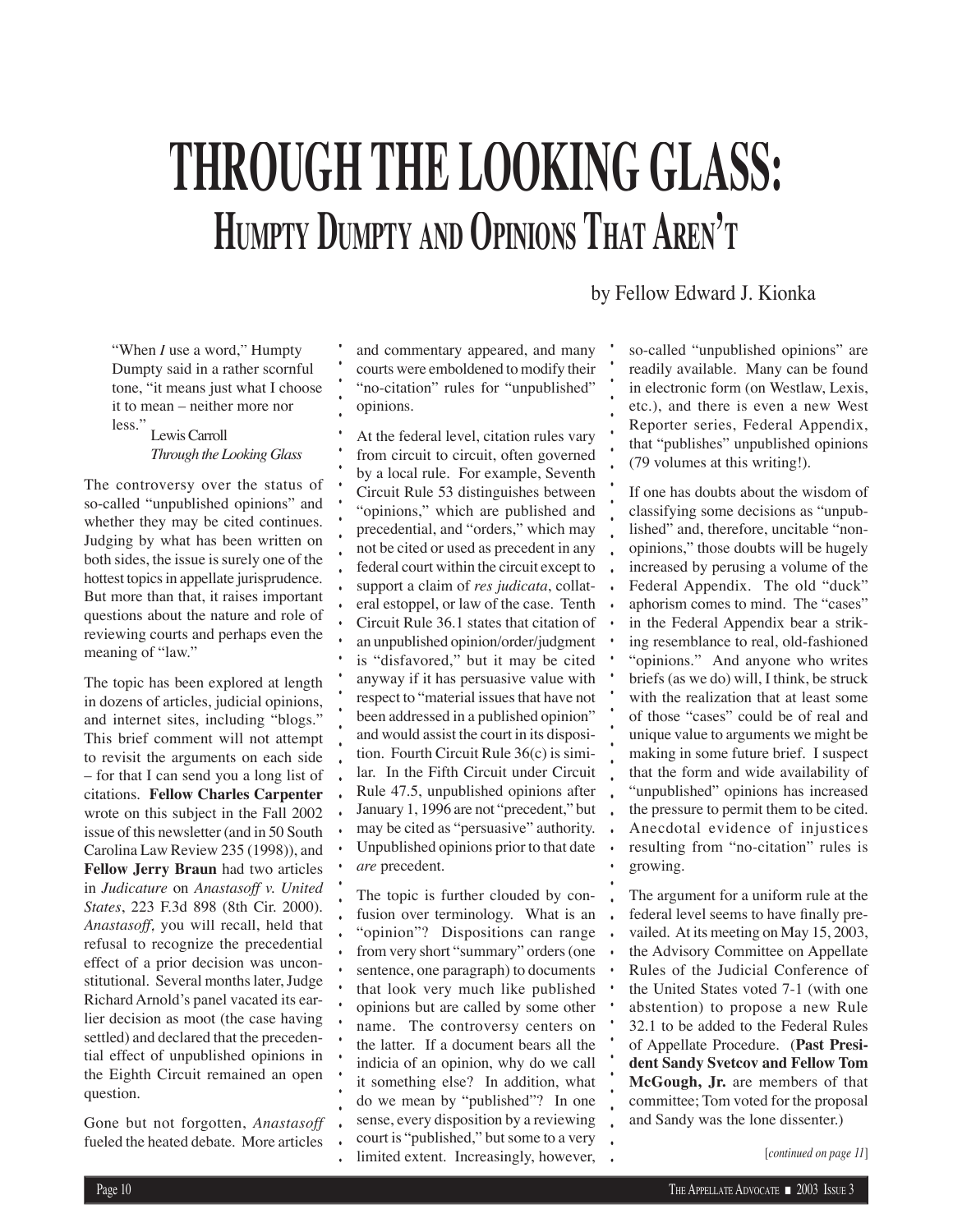## **THROUGH THE LOOKING GLASS: HUMPTY DUMPTY AND OPINIONS THAT AREN'T**

by Fellow Edward J. Kionka

 "When *I* use a word," Humpty Dumpty said in a rather scornful tone, "it means just what I choose it to mean – neither more nor less."

Lewis Carroll *Through the Looking Glass*

The controversy over the status of so-called "unpublished opinions" and whether they may be cited continues. Judging by what has been written on both sides, the issue is surely one of the hottest topics in appellate jurisprudence. But more than that, it raises important questions about the nature and role of reviewing courts and perhaps even the meaning of "law."

The topic has been explored at length in dozens of articles, judicial opinions, and internet sites, including "blogs." This brief comment will not attempt to revisit the arguments on each side – for that I can send you a long list of citations. **Fellow Charles Carpenter** wrote on this subject in the Fall 2002 issue of this newsletter (and in 50 South Carolina Law Review 235 (1998)), and **Fellow Jerry Braun** had two articles in *Judicature* on *Anastasoff v. United States*, 223 F.3d 898 (8th Cir. 2000). *Anastasoff*, you will recall, held that refusal to recognize the precedential effect of a prior decision was unconstitutional. Several months later, Judge Richard Arnold's panel vacated its earlier decision as moot (the case having settled) and declared that the precedential effect of unpublished opinions in the Eighth Circuit remained an open question.

Gone but not forgotten, *Anastasoff*  fueled the heated debate. More articles and commentary appeared, and many courts were emboldened to modify their "no-citation" rules for "unpublished" opinions.

At the federal level, citation rules vary from circuit to circuit, often governed by a local rule. For example, Seventh Circuit Rule 53 distinguishes between "opinions," which are published and precedential, and "orders," which may not be cited or used as precedent in any federal court within the circuit except to support a claim of *res judicata*, collateral estoppel, or law of the case. Tenth Circuit Rule 36.1 states that citation of an unpublished opinion/order/judgment is "disfavored," but it may be cited anyway if it has persuasive value with respect to "material issues that have not been addressed in a published opinion" and would assist the court in its disposition. Fourth Circuit Rule 36(c) is similar. In the Fifth Circuit under Circuit Rule 47.5, unpublished opinions after January 1, 1996 are not "precedent," but may be cited as "persuasive" authority. Unpublished opinions prior to that date *are* precedent.

The topic is further clouded by confusion over terminology. What is an "opinion"? Dispositions can range from very short "summary" orders (one sentence, one paragraph) to documents that look very much like published opinions but are called by some other name. The controversy centers on the latter. If a document bears all the indicia of an opinion, why do we call it something else? In addition, what do we mean by "published"? In one sense, every disposition by a reviewing court is "published," but some to a very limited extent. Increasingly, however, so-called "unpublished opinions" are readily available. Many can be found in electronic form (on Westlaw, Lexis, etc.), and there is even a new West Reporter series, Federal Appendix, that "publishes" unpublished opinions (79 volumes at this writing!).

If one has doubts about the wisdom of classifying some decisions as "unpublished" and, therefore, uncitable "nonopinions," those doubts will be hugely increased by perusing a volume of the Federal Appendix. The old "duck" aphorism comes to mind. The "cases" in the Federal Appendix bear a striking resemblance to real, old-fashioned "opinions." And anyone who writes briefs (as we do) will, I think, be struck with the realization that at least some of those "cases" could be of real and unique value to arguments we might be making in some future brief. I suspect that the form and wide availability of "unpublished" opinions has increased the pressure to permit them to be cited. Anecdotal evidence of injustices resulting from "no-citation" rules is growing.

The argument for a uniform rule at the federal level seems to have finally prevailed. At its meeting on May 15, 2003, the Advisory Committee on Appellate Rules of the Judicial Conference of the United States voted 7-1 (with one abstention) to propose a new Rule 32.1 to be added to the Federal Rules of Appellate Procedure. (**Past President Sandy Svetcov and Fellow Tom McGough, Jr.** are members of that committee; Tom voted for the proposal and Sandy was the lone dissenter.)

[*continued on page 11*]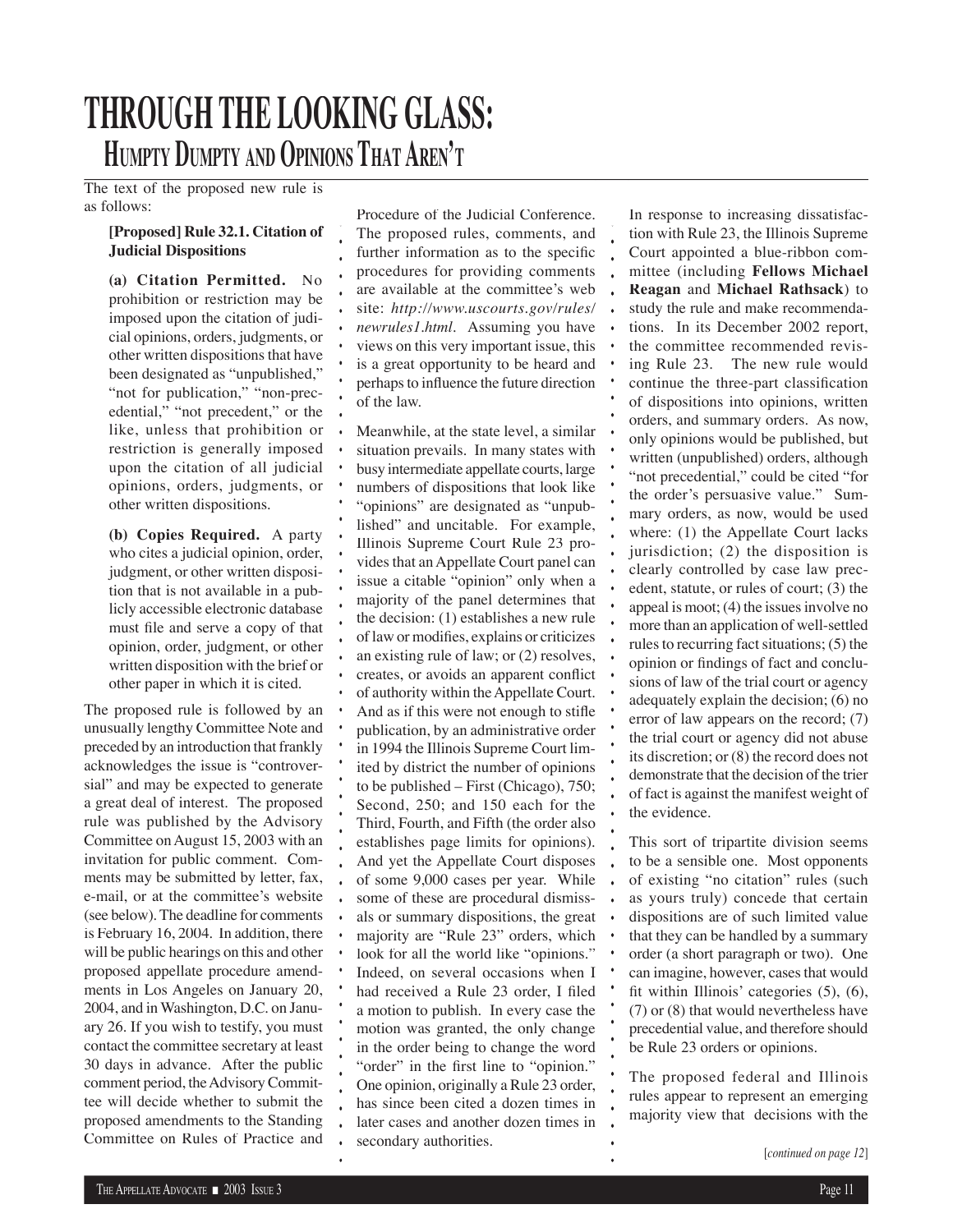### **THROUGH THE LOOKING GLASS: HUMPTY DUMPTY AND OPINIONS THAT AREN'T**

The text of the proposed new rule is as follows:

#### **[Proposed] Rule 32.1. Citation of Judicial Dispositions**

**(a) Citation Permitted.** No prohibition or restriction may be imposed upon the citation of judicial opinions, orders, judgments, or other written dispositions that have been designated as "unpublished," "not for publication," "non-precedential," "not precedent," or the like, unless that prohibition or restriction is generally imposed upon the citation of all judicial opinions, orders, judgments, or other written dispositions.

**(b) Copies Required.** A party who cites a judicial opinion, order, judgment, or other written disposition that is not available in a publicly accessible electronic database must file and serve a copy of that opinion, order, judgment, or other written disposition with the brief or other paper in which it is cited.

The proposed rule is followed by an unusually lengthy Committee Note and preceded by an introduction that frankly acknowledges the issue is "controversial" and may be expected to generate a great deal of interest. The proposed rule was published by the Advisory Committee on August 15, 2003 with an invitation for public comment. Comments may be submitted by letter, fax, e-mail, or at the committee's website (see below). The deadline for comments is February 16, 2004. In addition, there will be public hearings on this and other proposed appellate procedure amendments in Los Angeles on January 20, 2004, and in Washington, D.C. on January 26. If you wish to testify, you must contact the committee secretary at least 30 days in advance. After the public comment period, the Advisory Committee will decide whether to submit the proposed amendments to the Standing Committee on Rules of Practice and Procedure of the Judicial Conference. The proposed rules, comments, and further information as to the specific procedures for providing comments are available at the committee's web site: *http://www.uscourts.gov/rules/ newrules1.html*. Assuming you have views on this very important issue, this is a great opportunity to be heard and perhaps to influence the future direction of the law.

Meanwhile, at the state level, a similar situation prevails. In many states with busy intermediate appellate courts, large numbers of dispositions that look like "opinions" are designated as "unpublished" and uncitable. For example, Illinois Supreme Court Rule 23 provides that an Appellate Court panel can issue a citable "opinion" only when a majority of the panel determines that the decision: (1) establishes a new rule of law or modifies, explains or criticizes an existing rule of law; or (2) resolves, creates, or avoids an apparent conflict of authority within the Appellate Court. And as if this were not enough to stifle publication, by an administrative order in 1994 the Illinois Supreme Court limited by district the number of opinions to be published – First (Chicago), 750; Second, 250; and 150 each for the Third, Fourth, and Fifth (the order also establishes page limits for opinions). And yet the Appellate Court disposes of some 9,000 cases per year. While some of these are procedural dismissals or summary dispositions, the great majority are "Rule 23" orders, which look for all the world like "opinions." Indeed, on several occasions when I had received a Rule 23 order. I filed a motion to publish. In every case the motion was granted, the only change in the order being to change the word "order" in the first line to "opinion." One opinion, originally a Rule 23 order, has since been cited a dozen times in later cases and another dozen times in secondary authorities.

In response to increasing dissatisfaction with Rule 23, the Illinois Supreme Court appointed a blue-ribbon committee (including **Fellows Michael Reagan** and **Michael Rathsack**) to study the rule and make recommendations. In its December 2002 report, the committee recommended revising Rule 23. The new rule would continue the three-part classification of dispositions into opinions, written orders, and summary orders. As now, only opinions would be published, but written (unpublished) orders, although "not precedential," could be cited "for the order's persuasive value." Summary orders, as now, would be used where: (1) the Appellate Court lacks jurisdiction; (2) the disposition is clearly controlled by case law precedent, statute, or rules of court; (3) the appeal is moot; (4) the issues involve no more than an application of well-settled rules to recurring fact situations; (5) the opinion or findings of fact and conclusions of law of the trial court or agency adequately explain the decision; (6) no error of law appears on the record; (7) the trial court or agency did not abuse its discretion; or (8) the record does not demonstrate that the decision of the trier of fact is against the manifest weight of the evidence.

This sort of tripartite division seems to be a sensible one. Most opponents of existing "no citation" rules (such as yours truly) concede that certain dispositions are of such limited value that they can be handled by a summary order (a short paragraph or two). One can imagine, however, cases that would fit within Illinois' categories  $(5)$ ,  $(6)$ , (7) or (8) that would nevertheless have precedential value, and therefore should be Rule 23 orders or opinions.

The proposed federal and Illinois rules appear to represent an emerging majority view that decisions with the

<sup>[</sup>*continued on page 12*]